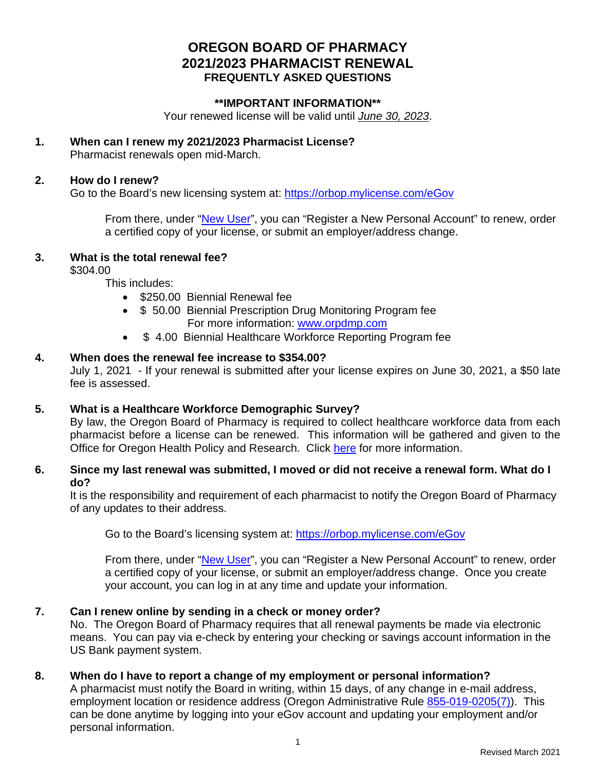## **OREGON BOARD OF PHARMACY 2021/2023 PHARMACIST RENEWAL FREQUENTLY ASKED QUESTIONS**

## **\*\*IMPORTANT INFORMATION\*\***

Your renewed license will be valid until *June 30, 2023*.

#### **1. When can I renew my 2021/2023 Pharmacist License?** Pharmacist renewals open mid-March.

#### **2. How do I renew?**

Go to the Board's new licensing system at:<https://orbop.mylicense.com/eGov>

From there, under ["New User"](https://www.oregon.gov/pharmacy/Documents/eGovPersonsLoginInstructions.pdf), you can "Register a New Personal Account" to renew, order a certified copy of your license, or submit an employer/address change.

## **3. What is the total renewal fee?**

\$304.00

This includes:

- \$250.00 Biennial Renewal fee
- \$ 50.00 Biennial Prescription Drug Monitoring Program fee For more information: [www.orpdmp.com](http://www.orpdmp.com/)
- \$4.00 Biennial Healthcare Workforce Reporting Program fee

## **4. When does the renewal fee increase to \$354.00?**

July 1, 2021 - If your renewal is submitted after your license expires on June 30, 2021, a \$50 late fee is assessed.

## **5. What is a Healthcare Workforce Demographic Survey?**

By law, the Oregon Board of Pharmacy is required to collect healthcare workforce data from each pharmacist before a license can be renewed. This information will be gathered and given to the Office for Oregon Health Policy and Research. Click here for more information.

## **6. Since my last renewal was submitted, I moved or did not receive a renewal form. What do I do?**

It is the responsibility and requirement of each pharmacist to notify the Oregon Board of Pharmacy of any updates to their address.

Go to the Board's licensing system at:<https://orbop.mylicense.com/eGov>

From there, under ["New User"](https://www.oregon.gov/pharmacy/Documents/eGovPersonsLoginInstructions.pdf), you can "Register a New Personal Account" to renew, order a certified copy of your license, or submit an employer/address change. Once you create your account, you can log in at any time and update your information.

## **7. Can I renew online by sending in a check or money order?**

No. The Oregon Board of Pharmacy requires that all renewal payments be made via electronic means. You can pay via e-check by entering your checking or savings account information in the US Bank payment system.

## **8. When do I have to report a change of my employment or personal information?**

A pharmacist must notify the Board in writing, within 15 days, of any change in e-mail address, employment location or residence address (Oregon Administrative Rule [855-019-0205\(7\)\)](https://secure.sos.state.or.us/oard/viewSingleRule.action?ruleVrsnRsn=217998). This can be done anytime by logging into your eGov account and updating your employment and/or personal information.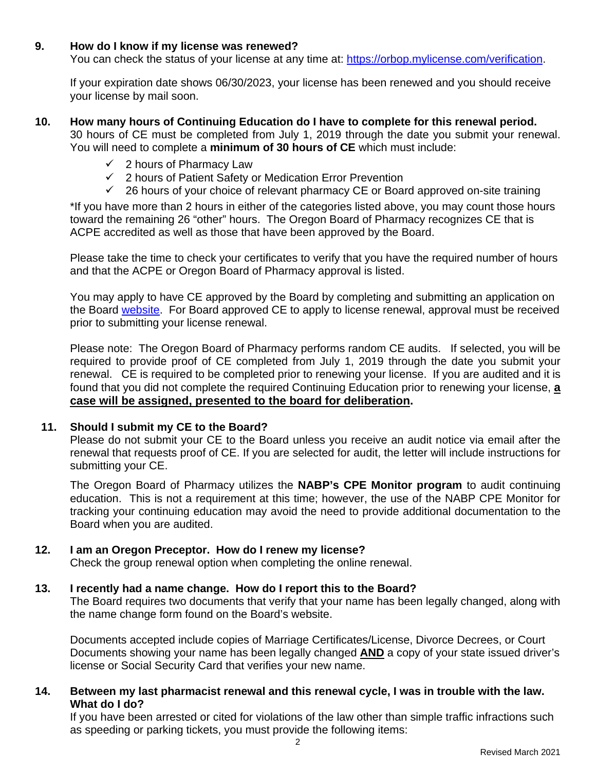## **9. How do I know if my license was renewed?**

You can check the status of your license at any time at: [https://orbop.mylicense.com/verification.](https://orbop.mylicense.com/verification)

If your expiration date shows 06/30/2023, your license has been renewed and you should receive your license by mail soon.

#### **10. How many hours of Continuing Education do I have to complete for this renewal period.**

30 hours of CE must be completed from July 1, 2019 through the date you submit your renewal. You will need to complete a **minimum of 30 hours of CE** which must include:

- $\checkmark$  2 hours of Pharmacy Law
- $\checkmark$  2 hours of Patient Safety or Medication Error Prevention
- $\checkmark$  26 hours of your choice of relevant pharmacy CE or Board approved on-site training

\*If you have more than 2 hours in either of the categories listed above, you may count those hours toward the remaining 26 "other" hours. The Oregon Board of Pharmacy recognizes CE that is ACPE accredited as well as those that have been approved by the Board.

Please take the time to check your certificates to verify that you have the required number of hours and that the ACPE or Oregon Board of Pharmacy approval is listed.

You may apply to have CE approved by the Board by completing and submitting an application on the Board [website.](https://www.oregon.gov/pharmacy/Pages/Continuing-Education-.aspx) For Board approved CE to apply to license renewal, approval must be received prior to submitting your license renewal.

Please note: The Oregon Board of Pharmacy performs random CE audits. If selected, you will be required to provide proof of CE completed from July 1, 2019 through the date you submit your renewal. CE is required to be completed prior to renewing your license. If you are audited and it is found that you did not complete the required Continuing Education prior to renewing your license, **a case will be assigned, presented to the board for deliberation.** 

## **11. Should I submit my CE to the Board?**

Please do not submit your CE to the Board unless you receive an audit notice via email after the renewal that requests proof of CE. If you are selected for audit, the letter will include instructions for submitting your CE.

The Oregon Board of Pharmacy utilizes the **NABP's CPE Monitor program** to audit continuing education. This is not a requirement at this time; however, the use of the NABP CPE Monitor for tracking your continuing education may avoid the need to provide additional documentation to the Board when you are audited.

## **12. I am an Oregon Preceptor. How do I renew my license?**

Check the group renewal option when completing the online renewal.

## **13. I recently had a name change. How do I report this to the Board?**

The Board requires two documents that verify that your name has been legally changed, along with the name change form found on the Board's website.

Documents accepted include copies of Marriage Certificates/License, Divorce Decrees, or Court Documents showing your name has been legally changed **AND** a copy of your state issued driver's license or Social Security Card that verifies your new name.

## **14. Between my last pharmacist renewal and this renewal cycle, I was in trouble with the law. What do I do?**

If you have been arrested or cited for violations of the law other than simple traffic infractions such as speeding or parking tickets, you must provide the following items: